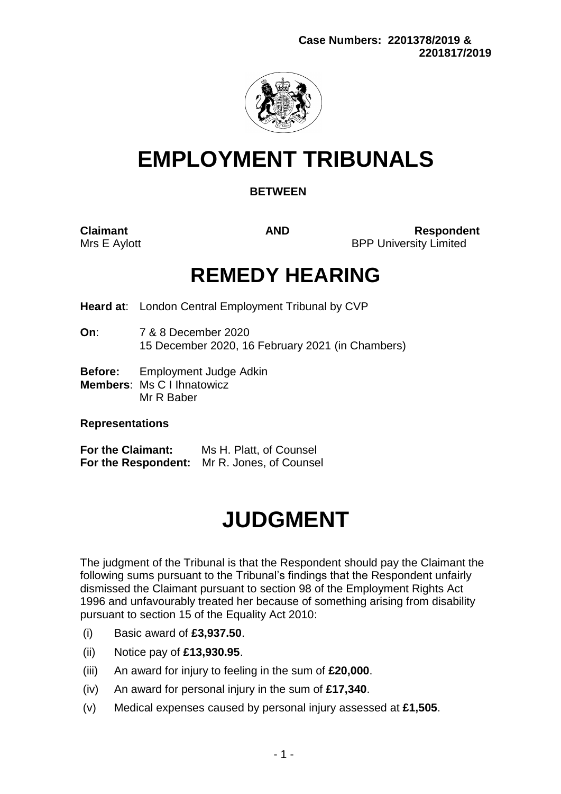

# **EMPLOYMENT TRIBUNALS**

# **BETWEEN**

**Claimant AND Respondent** Mrs E Aylott **BPP University Limited** 

# **REMEDY HEARING**

**Heard at**: London Central Employment Tribunal by CVP

- **On**: 7 & 8 December 2020 15 December 2020, 16 February 2021 (in Chambers)
- **Before:** Employment Judge Adkin
- **Members**: Ms C I Ihnatowicz Mr R Baber

# **Representations**

**For the Claimant:** Ms H. Platt, of Counsel **For the Respondent:** Mr R. Jones, of Counsel

# **JUDGMENT**

The judgment of the Tribunal is that the Respondent should pay the Claimant the following sums pursuant to the Tribunal's findings that the Respondent unfairly dismissed the Claimant pursuant to section 98 of the Employment Rights Act 1996 and unfavourably treated her because of something arising from disability pursuant to section 15 of the Equality Act 2010:

- (i) Basic award of **£3,937.50**.
- (ii) Notice pay of **£13,930.95**.
- (iii) An award for injury to feeling in the sum of **£20,000**.
- (iv) An award for personal injury in the sum of **£17,340**.
- (v) Medical expenses caused by personal injury assessed at **£1,505**.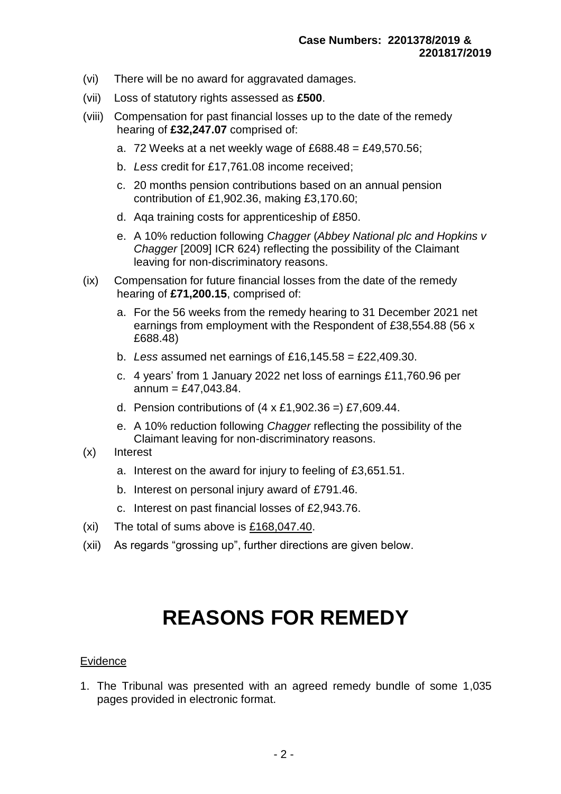- (vi) There will be no award for aggravated damages.
- (vii) Loss of statutory rights assessed as **£500**.
- (viii) Compensation for past financial losses up to the date of the remedy hearing of **£32,247.07** comprised of:
	- a. 72 Weeks at a net weekly wage of £688.48 = £49,570.56;
	- b. *Less* credit for £17,761.08 income received;
	- c. 20 months pension contributions based on an annual pension contribution of £1,902.36, making £3,170.60;
	- d. Aqa training costs for apprenticeship of £850.
	- e. A 10% reduction following *Chagger* (*Abbey National plc and Hopkins v Chagger* [2009] ICR 624) reflecting the possibility of the Claimant leaving for non-discriminatory reasons.
- (ix) Compensation for future financial losses from the date of the remedy hearing of **£71,200.15**, comprised of:
	- a. For the 56 weeks from the remedy hearing to 31 December 2021 net earnings from employment with the Respondent of £38,554.88 (56 x £688.48)
	- b. *Less* assumed net earnings of £16,145.58 = £22,409.30.
	- c. 4 years' from 1 January 2022 net loss of earnings £11,760.96 per  $annum = £47.043.84.$
	- d. Pension contributions of  $(4 \times £1,902.36)$  = £7,609.44.
	- e. A 10% reduction following *Chagger* reflecting the possibility of the Claimant leaving for non-discriminatory reasons.
- (x) Interest
	- a. Interest on the award for injury to feeling of £3,651.51.
	- b. Interest on personal injury award of £791.46.
	- c. Interest on past financial losses of £2,943.76.
- (xi) The total of sums above is  $£168,047.40$ .
- (xii) As regards "grossing up", further directions are given below.

# **REASONS FOR REMEDY**

#### Evidence

1. The Tribunal was presented with an agreed remedy bundle of some 1,035 pages provided in electronic format.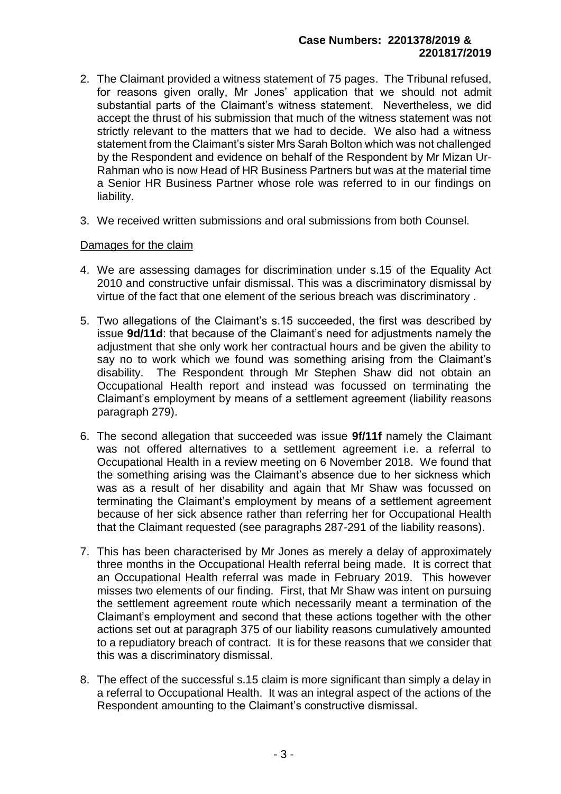- 2. The Claimant provided a witness statement of 75 pages. The Tribunal refused, for reasons given orally, Mr Jones' application that we should not admit substantial parts of the Claimant's witness statement. Nevertheless, we did accept the thrust of his submission that much of the witness statement was not strictly relevant to the matters that we had to decide. We also had a witness statement from the Claimant's sister Mrs Sarah Bolton which was not challenged by the Respondent and evidence on behalf of the Respondent by Mr Mizan Ur-Rahman who is now Head of HR Business Partners but was at the material time a Senior HR Business Partner whose role was referred to in our findings on liability.
- 3. We received written submissions and oral submissions from both Counsel.

# Damages for the claim

- 4. We are assessing damages for discrimination under s.15 of the Equality Act 2010 and constructive unfair dismissal. This was a discriminatory dismissal by virtue of the fact that one element of the serious breach was discriminatory .
- 5. Two allegations of the Claimant's s.15 succeeded, the first was described by issue **9d/11d**: that because of the Claimant's need for adjustments namely the adjustment that she only work her contractual hours and be given the ability to say no to work which we found was something arising from the Claimant's disability. The Respondent through Mr Stephen Shaw did not obtain an Occupational Health report and instead was focussed on terminating the Claimant's employment by means of a settlement agreement (liability reasons paragraph 279).
- 6. The second allegation that succeeded was issue **9f/11f** namely the Claimant was not offered alternatives to a settlement agreement i.e. a referral to Occupational Health in a review meeting on 6 November 2018. We found that the something arising was the Claimant's absence due to her sickness which was as a result of her disability and again that Mr Shaw was focussed on terminating the Claimant's employment by means of a settlement agreement because of her sick absence rather than referring her for Occupational Health that the Claimant requested (see paragraphs 287-291 of the liability reasons).
- 7. This has been characterised by Mr Jones as merely a delay of approximately three months in the Occupational Health referral being made. It is correct that an Occupational Health referral was made in February 2019. This however misses two elements of our finding. First, that Mr Shaw was intent on pursuing the settlement agreement route which necessarily meant a termination of the Claimant's employment and second that these actions together with the other actions set out at paragraph 375 of our liability reasons cumulatively amounted to a repudiatory breach of contract. It is for these reasons that we consider that this was a discriminatory dismissal.
- 8. The effect of the successful s.15 claim is more significant than simply a delay in a referral to Occupational Health. It was an integral aspect of the actions of the Respondent amounting to the Claimant's constructive dismissal.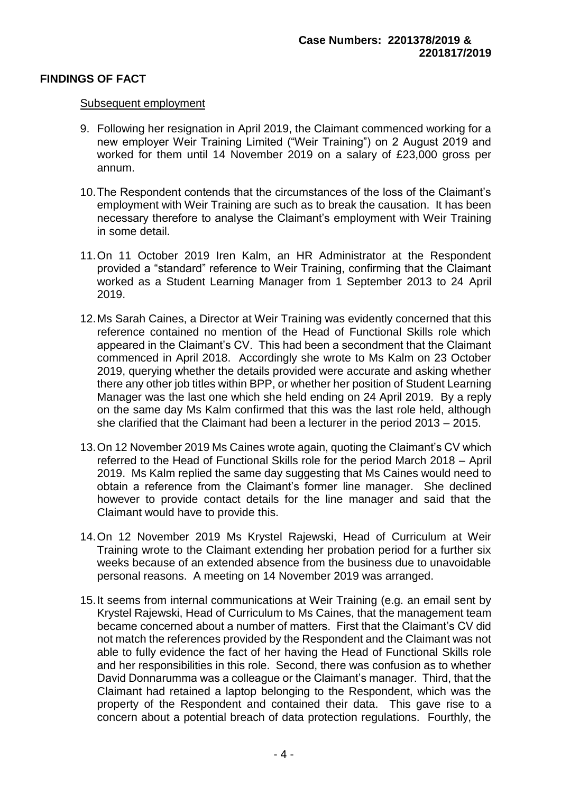# **FINDINGS OF FACT**

#### Subsequent employment

- 9. Following her resignation in April 2019, the Claimant commenced working for a new employer Weir Training Limited ("Weir Training") on 2 August 2019 and worked for them until 14 November 2019 on a salary of £23,000 gross per annum.
- 10.The Respondent contends that the circumstances of the loss of the Claimant's employment with Weir Training are such as to break the causation. It has been necessary therefore to analyse the Claimant's employment with Weir Training in some detail.
- 11.On 11 October 2019 Iren Kalm, an HR Administrator at the Respondent provided a "standard" reference to Weir Training, confirming that the Claimant worked as a Student Learning Manager from 1 September 2013 to 24 April 2019.
- 12.Ms Sarah Caines, a Director at Weir Training was evidently concerned that this reference contained no mention of the Head of Functional Skills role which appeared in the Claimant's CV. This had been a secondment that the Claimant commenced in April 2018. Accordingly she wrote to Ms Kalm on 23 October 2019, querying whether the details provided were accurate and asking whether there any other job titles within BPP, or whether her position of Student Learning Manager was the last one which she held ending on 24 April 2019. By a reply on the same day Ms Kalm confirmed that this was the last role held, although she clarified that the Claimant had been a lecturer in the period 2013 – 2015.
- 13.On 12 November 2019 Ms Caines wrote again, quoting the Claimant's CV which referred to the Head of Functional Skills role for the period March 2018 – April 2019. Ms Kalm replied the same day suggesting that Ms Caines would need to obtain a reference from the Claimant's former line manager. She declined however to provide contact details for the line manager and said that the Claimant would have to provide this.
- 14.On 12 November 2019 Ms Krystel Rajewski, Head of Curriculum at Weir Training wrote to the Claimant extending her probation period for a further six weeks because of an extended absence from the business due to unavoidable personal reasons. A meeting on 14 November 2019 was arranged.
- 15.It seems from internal communications at Weir Training (e.g. an email sent by Krystel Rajewski, Head of Curriculum to Ms Caines, that the management team became concerned about a number of matters. First that the Claimant's CV did not match the references provided by the Respondent and the Claimant was not able to fully evidence the fact of her having the Head of Functional Skills role and her responsibilities in this role. Second, there was confusion as to whether David Donnarumma was a colleague or the Claimant's manager. Third, that the Claimant had retained a laptop belonging to the Respondent, which was the property of the Respondent and contained their data. This gave rise to a concern about a potential breach of data protection regulations. Fourthly, the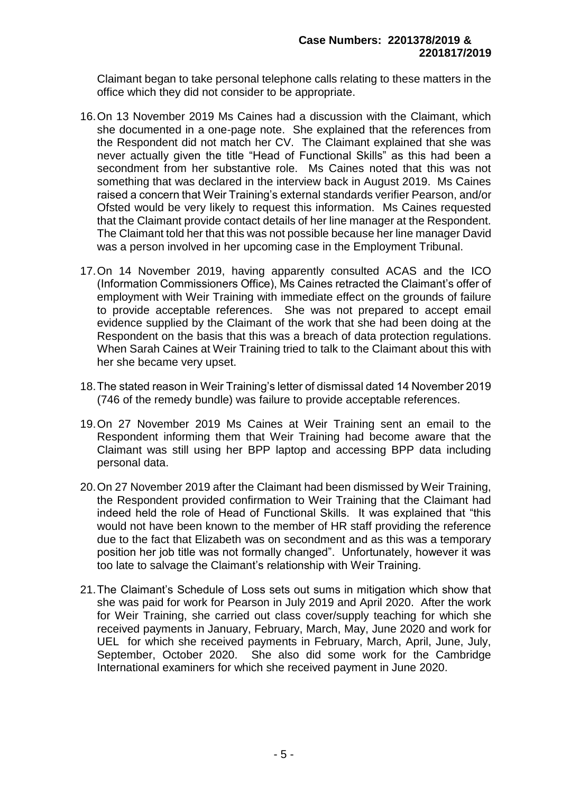Claimant began to take personal telephone calls relating to these matters in the office which they did not consider to be appropriate.

- 16.On 13 November 2019 Ms Caines had a discussion with the Claimant, which she documented in a one-page note. She explained that the references from the Respondent did not match her CV. The Claimant explained that she was never actually given the title "Head of Functional Skills" as this had been a secondment from her substantive role. Ms Caines noted that this was not something that was declared in the interview back in August 2019. Ms Caines raised a concern that Weir Training's external standards verifier Pearson, and/or Ofsted would be very likely to request this information. Ms Caines requested that the Claimant provide contact details of her line manager at the Respondent. The Claimant told her that this was not possible because her line manager David was a person involved in her upcoming case in the Employment Tribunal.
- 17.On 14 November 2019, having apparently consulted ACAS and the ICO (Information Commissioners Office), Ms Caines retracted the Claimant's offer of employment with Weir Training with immediate effect on the grounds of failure to provide acceptable references. She was not prepared to accept email evidence supplied by the Claimant of the work that she had been doing at the Respondent on the basis that this was a breach of data protection regulations. When Sarah Caines at Weir Training tried to talk to the Claimant about this with her she became very upset.
- 18.The stated reason in Weir Training's letter of dismissal dated 14 November 2019 (746 of the remedy bundle) was failure to provide acceptable references.
- 19.On 27 November 2019 Ms Caines at Weir Training sent an email to the Respondent informing them that Weir Training had become aware that the Claimant was still using her BPP laptop and accessing BPP data including personal data.
- 20.On 27 November 2019 after the Claimant had been dismissed by Weir Training, the Respondent provided confirmation to Weir Training that the Claimant had indeed held the role of Head of Functional Skills. It was explained that "this would not have been known to the member of HR staff providing the reference due to the fact that Elizabeth was on secondment and as this was a temporary position her job title was not formally changed". Unfortunately, however it was too late to salvage the Claimant's relationship with Weir Training.
- 21.The Claimant's Schedule of Loss sets out sums in mitigation which show that she was paid for work for Pearson in July 2019 and April 2020. After the work for Weir Training, she carried out class cover/supply teaching for which she received payments in January, February, March, May, June 2020 and work for UEL for which she received payments in February, March, April, June, July, September, October 2020. She also did some work for the Cambridge International examiners for which she received payment in June 2020.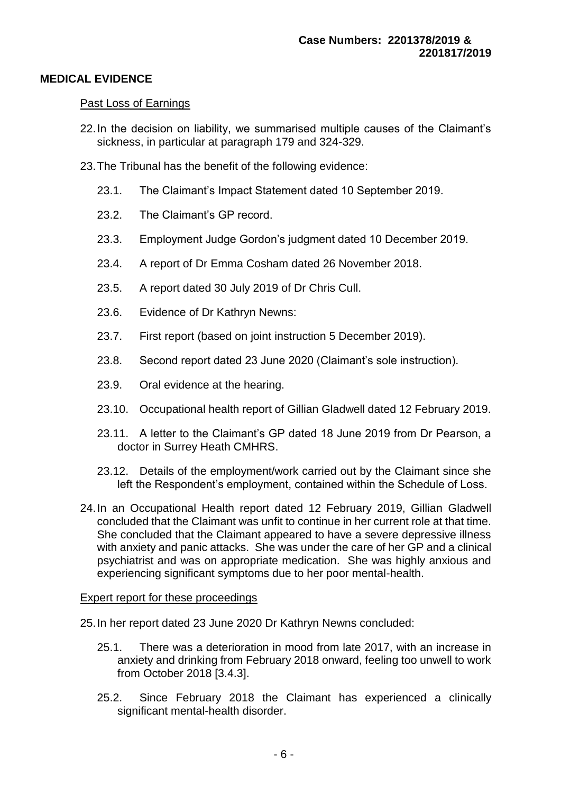# **MEDICAL EVIDENCE**

#### Past Loss of Earnings

- 22.In the decision on liability, we summarised multiple causes of the Claimant's sickness, in particular at paragraph 179 and 324-329.
- 23.The Tribunal has the benefit of the following evidence:
	- 23.1. The Claimant's Impact Statement dated 10 September 2019.
	- 23.2. The Claimant's GP record.
	- 23.3. Employment Judge Gordon's judgment dated 10 December 2019.
	- 23.4. A report of Dr Emma Cosham dated 26 November 2018.
	- 23.5. A report dated 30 July 2019 of Dr Chris Cull.
	- 23.6. Evidence of Dr Kathryn Newns:
	- 23.7. First report (based on joint instruction 5 December 2019).
	- 23.8. Second report dated 23 June 2020 (Claimant's sole instruction).
	- 23.9. Oral evidence at the hearing.
	- 23.10. Occupational health report of Gillian Gladwell dated 12 February 2019.
	- 23.11. A letter to the Claimant's GP dated 18 June 2019 from Dr Pearson, a doctor in Surrey Heath CMHRS.
	- 23.12. Details of the employment/work carried out by the Claimant since she left the Respondent's employment, contained within the Schedule of Loss.
- 24.In an Occupational Health report dated 12 February 2019, Gillian Gladwell concluded that the Claimant was unfit to continue in her current role at that time. She concluded that the Claimant appeared to have a severe depressive illness with anxiety and panic attacks. She was under the care of her GP and a clinical psychiatrist and was on appropriate medication. She was highly anxious and experiencing significant symptoms due to her poor mental-health.

#### Expert report for these proceedings

- 25.In her report dated 23 June 2020 Dr Kathryn Newns concluded:
	- 25.1. There was a deterioration in mood from late 2017, with an increase in anxiety and drinking from February 2018 onward, feeling too unwell to work from October 2018 [3.4.3].
	- 25.2. Since February 2018 the Claimant has experienced a clinically significant mental-health disorder.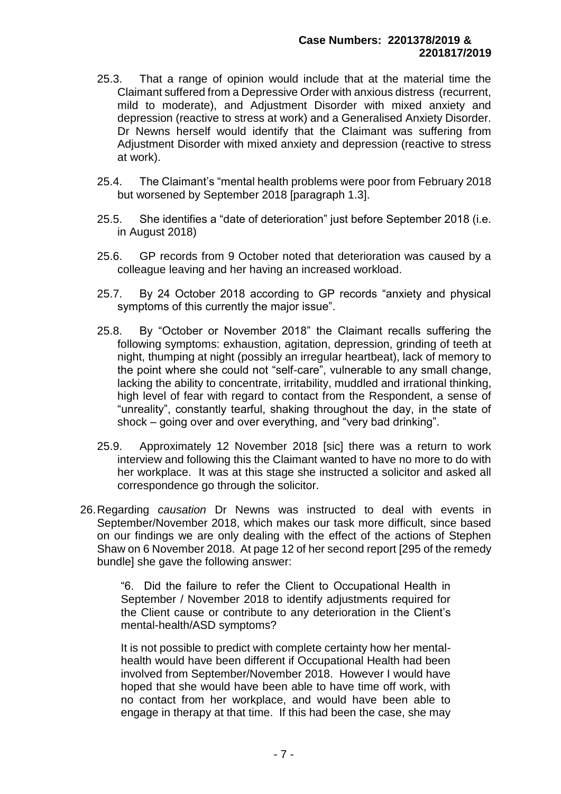- 25.3. That a range of opinion would include that at the material time the Claimant suffered from a Depressive Order with anxious distress (recurrent, mild to moderate), and Adjustment Disorder with mixed anxiety and depression (reactive to stress at work) and a Generalised Anxiety Disorder. Dr Newns herself would identify that the Claimant was suffering from Adjustment Disorder with mixed anxiety and depression (reactive to stress at work).
- 25.4. The Claimant's "mental health problems were poor from February 2018 but worsened by September 2018 [paragraph 1.3].
- 25.5. She identifies a "date of deterioration" just before September 2018 (i.e. in August 2018)
- 25.6. GP records from 9 October noted that deterioration was caused by a colleague leaving and her having an increased workload.
- 25.7. By 24 October 2018 according to GP records "anxiety and physical symptoms of this currently the major issue".
- 25.8. By "October or November 2018" the Claimant recalls suffering the following symptoms: exhaustion, agitation, depression, grinding of teeth at night, thumping at night (possibly an irregular heartbeat), lack of memory to the point where she could not "self-care", vulnerable to any small change, lacking the ability to concentrate, irritability, muddled and irrational thinking, high level of fear with regard to contact from the Respondent, a sense of "unreality", constantly tearful, shaking throughout the day, in the state of shock – going over and over everything, and "very bad drinking".
- 25.9. Approximately 12 November 2018 [sic] there was a return to work interview and following this the Claimant wanted to have no more to do with her workplace. It was at this stage she instructed a solicitor and asked all correspondence go through the solicitor.
- 26.Regarding *causation* Dr Newns was instructed to deal with events in September/November 2018, which makes our task more difficult, since based on our findings we are only dealing with the effect of the actions of Stephen Shaw on 6 November 2018. At page 12 of her second report [295 of the remedy bundle] she gave the following answer:

"6. Did the failure to refer the Client to Occupational Health in September / November 2018 to identify adjustments required for the Client cause or contribute to any deterioration in the Client's mental-health/ASD symptoms?

It is not possible to predict with complete certainty how her mentalhealth would have been different if Occupational Health had been involved from September/November 2018. However I would have hoped that she would have been able to have time off work, with no contact from her workplace, and would have been able to engage in therapy at that time. If this had been the case, she may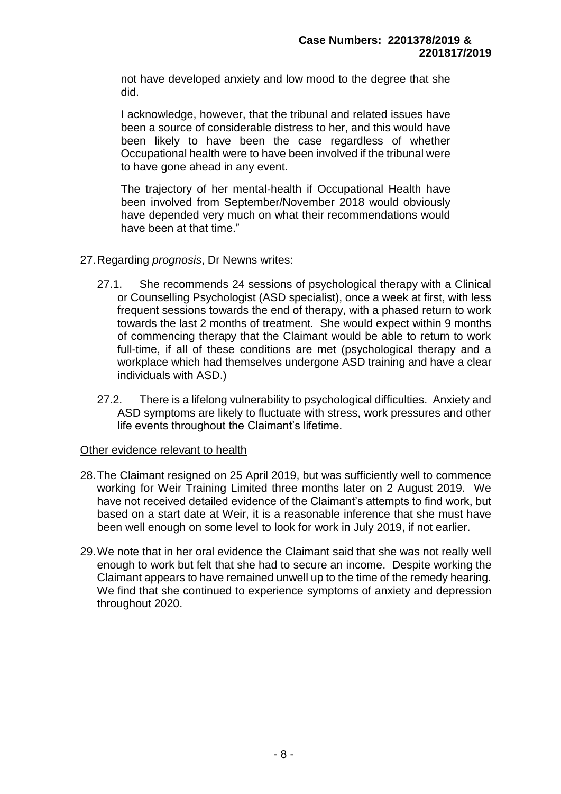not have developed anxiety and low mood to the degree that she did.

I acknowledge, however, that the tribunal and related issues have been a source of considerable distress to her, and this would have been likely to have been the case regardless of whether Occupational health were to have been involved if the tribunal were to have gone ahead in any event.

The trajectory of her mental-health if Occupational Health have been involved from September/November 2018 would obviously have depended very much on what their recommendations would have been at that time."

- 27.Regarding *prognosis*, Dr Newns writes:
	- 27.1. She recommends 24 sessions of psychological therapy with a Clinical or Counselling Psychologist (ASD specialist), once a week at first, with less frequent sessions towards the end of therapy, with a phased return to work towards the last 2 months of treatment. She would expect within 9 months of commencing therapy that the Claimant would be able to return to work full-time, if all of these conditions are met (psychological therapy and a workplace which had themselves undergone ASD training and have a clear individuals with ASD.)
	- 27.2. There is a lifelong vulnerability to psychological difficulties. Anxiety and ASD symptoms are likely to fluctuate with stress, work pressures and other life events throughout the Claimant's lifetime.

#### Other evidence relevant to health

- 28.The Claimant resigned on 25 April 2019, but was sufficiently well to commence working for Weir Training Limited three months later on 2 August 2019. We have not received detailed evidence of the Claimant's attempts to find work, but based on a start date at Weir, it is a reasonable inference that she must have been well enough on some level to look for work in July 2019, if not earlier.
- 29.We note that in her oral evidence the Claimant said that she was not really well enough to work but felt that she had to secure an income. Despite working the Claimant appears to have remained unwell up to the time of the remedy hearing. We find that she continued to experience symptoms of anxiety and depression throughout 2020.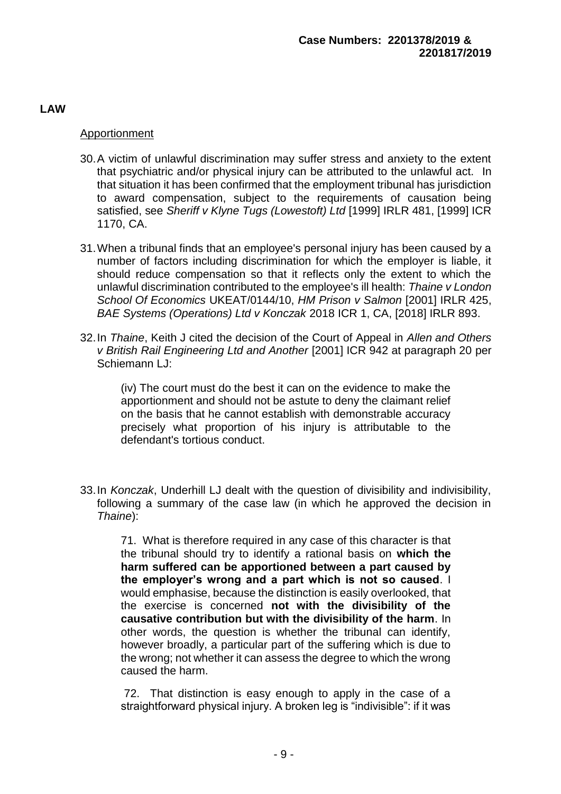**LAW**

# Apportionment

- 30.A victim of unlawful discrimination may suffer stress and anxiety to the extent that psychiatric and/or physical injury can be attributed to the unlawful act. In that situation it has been confirmed that the employment tribunal has jurisdiction to award compensation, subject to the requirements of causation being satisfied, see *Sheriff v Klyne Tugs (Lowestoft) Ltd* [1999] IRLR 481, [1999] ICR 1170, CA.
- 31.When a tribunal finds that an employee's personal injury has been caused by a number of factors including discrimination for which the employer is liable, it should reduce compensation so that it reflects only the extent to which the unlawful discrimination contributed to the employee's ill health: *Thaine v London School Of Economics* UKEAT/0144/10, *HM Prison v Salmon* [2001] IRLR 425, *BAE Systems (Operations) Ltd v Konczak* 2018 ICR 1, CA, [2018] IRLR 893.
- 32.In *Thaine*, Keith J cited the decision of the Court of Appeal in *Allen and Others v British Rail Engineering Ltd and Another* [2001] ICR 942 at paragraph 20 per Schiemann LJ:

(iv) The court must do the best it can on the evidence to make the apportionment and should not be astute to deny the claimant relief on the basis that he cannot establish with demonstrable accuracy precisely what proportion of his injury is attributable to the defendant's tortious conduct.

33.In *Konczak*, Underhill LJ dealt with the question of divisibility and indivisibility, following a summary of the case law (in which he approved the decision in *Thaine*):

71. What is therefore required in any case of this character is that the tribunal should try to identify a rational basis on **which the harm suffered can be apportioned between a part caused by the employer's wrong and a part which is not so caused**. I would emphasise, because the distinction is easily overlooked, that the exercise is concerned **not with the divisibility of the causative contribution but with the divisibility of the harm**. In other words, the question is whether the tribunal can identify, however broadly, a particular part of the suffering which is due to the wrong; not whether it can assess the degree to which the wrong caused the harm.

72. That distinction is easy enough to apply in the case of a straightforward physical injury. A broken leg is "indivisible": if it was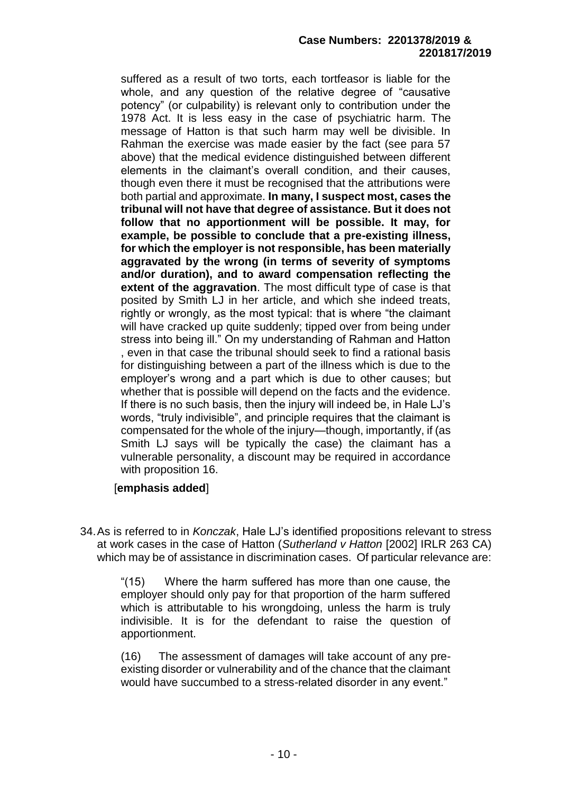suffered as a result of two torts, each tortfeasor is liable for the whole, and any question of the relative degree of "causative potency" (or culpability) is relevant only to contribution under the 1978 Act. It is less easy in the case of psychiatric harm. The message of Hatton is that such harm may well be divisible. In Rahman the exercise was made easier by the fact (see para 57 above) that the medical evidence distinguished between different elements in the claimant's overall condition, and their causes, though even there it must be recognised that the attributions were both partial and approximate. **In many, I suspect most, cases the tribunal will not have that degree of assistance. But it does not follow that no apportionment will be possible. It may, for example, be possible to conclude that a pre-existing illness, for which the employer is not responsible, has been materially aggravated by the wrong (in terms of severity of symptoms and/or duration), and to award compensation reflecting the extent of the aggravation**. The most difficult type of case is that posited by Smith LJ in her article, and which she indeed treats, rightly or wrongly, as the most typical: that is where "the claimant will have cracked up quite suddenly; tipped over from being under stress into being ill." On my understanding of Rahman and Hatton , even in that case the tribunal should seek to find a rational basis for distinguishing between a part of the illness which is due to the employer's wrong and a part which is due to other causes; but whether that is possible will depend on the facts and the evidence. If there is no such basis, then the injury will indeed be, in Hale LJ's words, "truly indivisible", and principle requires that the claimant is compensated for the whole of the injury—though, importantly, if (as Smith LJ says will be typically the case) the claimant has a vulnerable personality, a discount may be required in accordance with proposition 16.

#### [**emphasis added**]

34.As is referred to in *Konczak*, Hale LJ's identified propositions relevant to stress at work cases in the case of Hatton (*Sutherland v Hatton* [2002] IRLR 263 CA) which may be of assistance in discrimination cases. Of particular relevance are:

"(15) Where the harm suffered has more than one cause, the employer should only pay for that proportion of the harm suffered which is attributable to his wrongdoing, unless the harm is truly indivisible. It is for the defendant to raise the question of apportionment.

(16) The assessment of damages will take account of any preexisting disorder or vulnerability and of the chance that the claimant would have succumbed to a stress-related disorder in any event."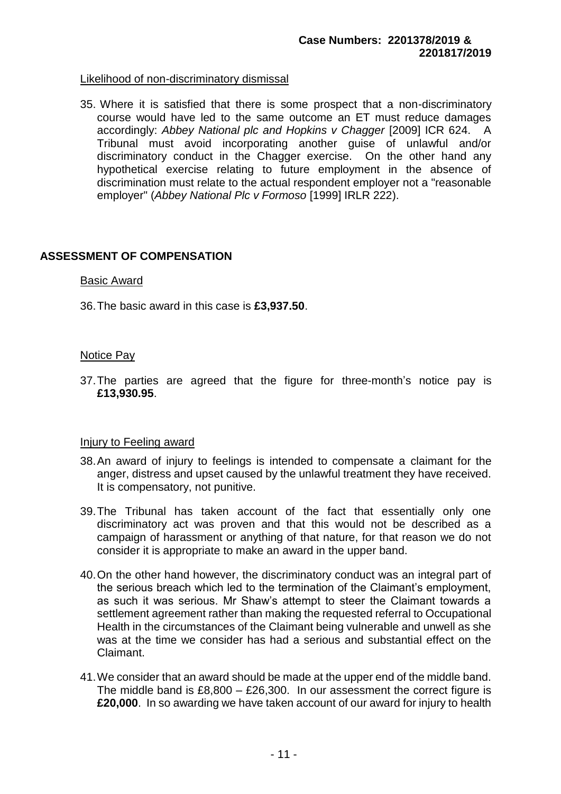#### Likelihood of non-discriminatory dismissal

35. Where it is satisfied that there is some prospect that a non-discriminatory course would have led to the same outcome an ET must reduce damages accordingly: *Abbey National plc and Hopkins v Chagger* [2009] ICR 624. A Tribunal must avoid incorporating another guise of unlawful and/or discriminatory conduct in the Chagger exercise. On the other hand any hypothetical exercise relating to future employment in the absence of discrimination must relate to the actual respondent employer not a "reasonable employer" (*Abbey National Plc v Formoso* [1999] IRLR 222).

#### **ASSESSMENT OF COMPENSATION**

#### Basic Award

36.The basic award in this case is **£3,937.50**.

#### Notice Pay

37.The parties are agreed that the figure for three-month's notice pay is **£13,930.95**.

#### Injury to Feeling award

- 38.An award of injury to feelings is intended to compensate a claimant for the anger, distress and upset caused by the unlawful treatment they have received. It is compensatory, not punitive.
- 39.The Tribunal has taken account of the fact that essentially only one discriminatory act was proven and that this would not be described as a campaign of harassment or anything of that nature, for that reason we do not consider it is appropriate to make an award in the upper band.
- 40.On the other hand however, the discriminatory conduct was an integral part of the serious breach which led to the termination of the Claimant's employment, as such it was serious. Mr Shaw's attempt to steer the Claimant towards a settlement agreement rather than making the requested referral to Occupational Health in the circumstances of the Claimant being vulnerable and unwell as she was at the time we consider has had a serious and substantial effect on the Claimant.
- 41.We consider that an award should be made at the upper end of the middle band. The middle band is  $£8,800 - £26,300$ . In our assessment the correct figure is **£20,000**. In so awarding we have taken account of our award for injury to health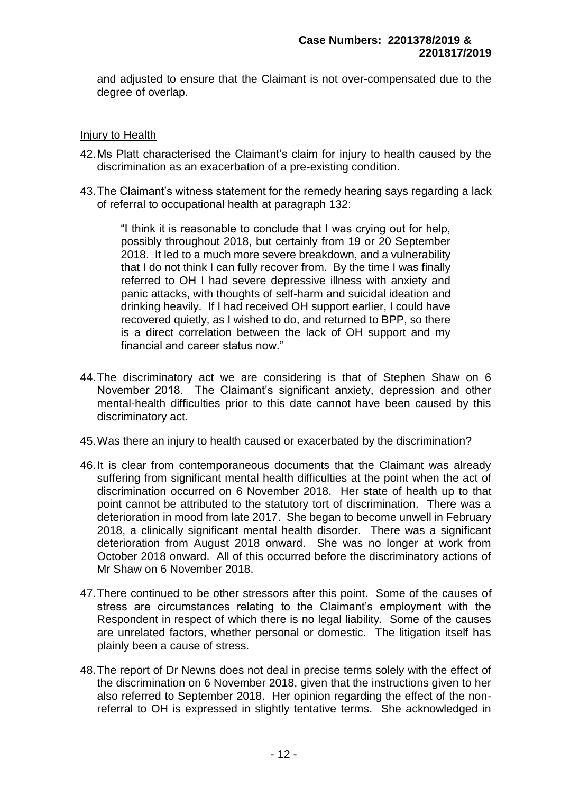and adjusted to ensure that the Claimant is not over-compensated due to the degree of overlap.

# Injury to Health

- 42.Ms Platt characterised the Claimant's claim for injury to health caused by the discrimination as an exacerbation of a pre-existing condition.
- 43.The Claimant's witness statement for the remedy hearing says regarding a lack of referral to occupational health at paragraph 132:

"I think it is reasonable to conclude that I was crying out for help, possibly throughout 2018, but certainly from 19 or 20 September 2018. It led to a much more severe breakdown, and a vulnerability that I do not think I can fully recover from. By the time I was finally referred to OH I had severe depressive illness with anxiety and panic attacks, with thoughts of self-harm and suicidal ideation and drinking heavily. If I had received OH support earlier, I could have recovered quietly, as I wished to do, and returned to BPP, so there is a direct correlation between the lack of OH support and my financial and career status now."

- 44.The discriminatory act we are considering is that of Stephen Shaw on 6 November 2018. The Claimant's significant anxiety, depression and other mental-health difficulties prior to this date cannot have been caused by this discriminatory act.
- 45.Was there an injury to health caused or exacerbated by the discrimination?
- 46.It is clear from contemporaneous documents that the Claimant was already suffering from significant mental health difficulties at the point when the act of discrimination occurred on 6 November 2018. Her state of health up to that point cannot be attributed to the statutory tort of discrimination. There was a deterioration in mood from late 2017. She began to become unwell in February 2018, a clinically significant mental health disorder. There was a significant deterioration from August 2018 onward. She was no longer at work from October 2018 onward. All of this occurred before the discriminatory actions of Mr Shaw on 6 November 2018.
- 47.There continued to be other stressors after this point. Some of the causes of stress are circumstances relating to the Claimant's employment with the Respondent in respect of which there is no legal liability. Some of the causes are unrelated factors, whether personal or domestic. The litigation itself has plainly been a cause of stress.
- 48.The report of Dr Newns does not deal in precise terms solely with the effect of the discrimination on 6 November 2018, given that the instructions given to her also referred to September 2018. Her opinion regarding the effect of the nonreferral to OH is expressed in slightly tentative terms. She acknowledged in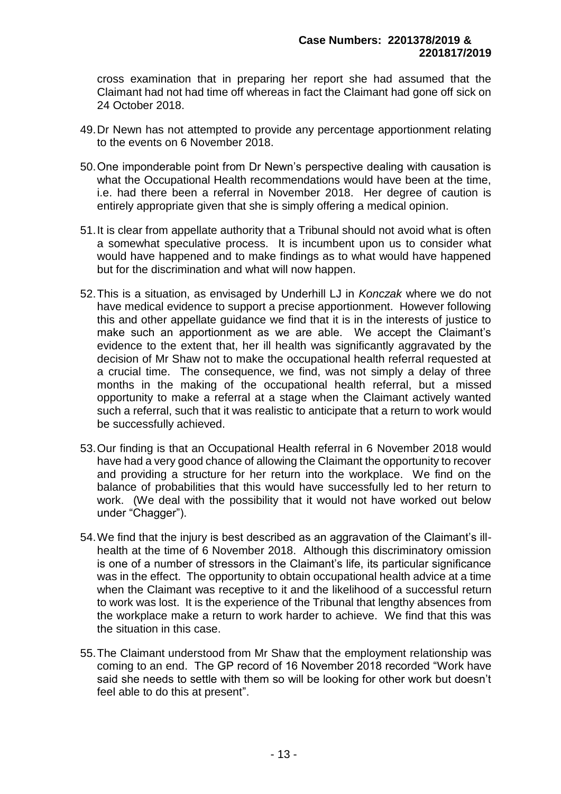cross examination that in preparing her report she had assumed that the Claimant had not had time off whereas in fact the Claimant had gone off sick on 24 October 2018.

- 49.Dr Newn has not attempted to provide any percentage apportionment relating to the events on 6 November 2018.
- 50.One imponderable point from Dr Newn's perspective dealing with causation is what the Occupational Health recommendations would have been at the time, i.e. had there been a referral in November 2018. Her degree of caution is entirely appropriate given that she is simply offering a medical opinion.
- 51.It is clear from appellate authority that a Tribunal should not avoid what is often a somewhat speculative process. It is incumbent upon us to consider what would have happened and to make findings as to what would have happened but for the discrimination and what will now happen.
- 52.This is a situation, as envisaged by Underhill LJ in *Konczak* where we do not have medical evidence to support a precise apportionment. However following this and other appellate guidance we find that it is in the interests of justice to make such an apportionment as we are able. We accept the Claimant's evidence to the extent that, her ill health was significantly aggravated by the decision of Mr Shaw not to make the occupational health referral requested at a crucial time. The consequence, we find, was not simply a delay of three months in the making of the occupational health referral, but a missed opportunity to make a referral at a stage when the Claimant actively wanted such a referral, such that it was realistic to anticipate that a return to work would be successfully achieved.
- 53.Our finding is that an Occupational Health referral in 6 November 2018 would have had a very good chance of allowing the Claimant the opportunity to recover and providing a structure for her return into the workplace. We find on the balance of probabilities that this would have successfully led to her return to work. (We deal with the possibility that it would not have worked out below under "Chagger").
- 54.We find that the injury is best described as an aggravation of the Claimant's illhealth at the time of 6 November 2018. Although this discriminatory omission is one of a number of stressors in the Claimant's life, its particular significance was in the effect. The opportunity to obtain occupational health advice at a time when the Claimant was receptive to it and the likelihood of a successful return to work was lost. It is the experience of the Tribunal that lengthy absences from the workplace make a return to work harder to achieve. We find that this was the situation in this case.
- 55.The Claimant understood from Mr Shaw that the employment relationship was coming to an end. The GP record of 16 November 2018 recorded "Work have said she needs to settle with them so will be looking for other work but doesn't feel able to do this at present".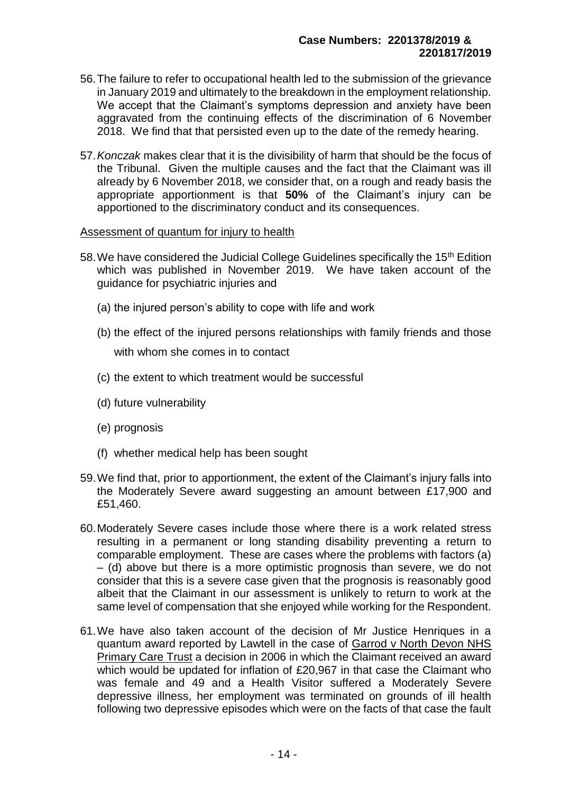- 56.The failure to refer to occupational health led to the submission of the grievance in January 2019 and ultimately to the breakdown in the employment relationship. We accept that the Claimant's symptoms depression and anxiety have been aggravated from the continuing effects of the discrimination of 6 November 2018. We find that that persisted even up to the date of the remedy hearing.
- 57.*Konczak* makes clear that it is the divisibility of harm that should be the focus of the Tribunal. Given the multiple causes and the fact that the Claimant was ill already by 6 November 2018, we consider that, on a rough and ready basis the appropriate apportionment is that **50%** of the Claimant's injury can be apportioned to the discriminatory conduct and its consequences.

#### Assessment of quantum for injury to health

- 58. We have considered the Judicial College Guidelines specifically the 15<sup>th</sup> Edition which was published in November 2019. We have taken account of the guidance for psychiatric injuries and
	- (a) the injured person's ability to cope with life and work
	- (b) the effect of the injured persons relationships with family friends and those with whom she comes in to contact
	- (c) the extent to which treatment would be successful
	- (d) future vulnerability
	- (e) prognosis
	- (f) whether medical help has been sought
- 59.We find that, prior to apportionment, the extent of the Claimant's injury falls into the Moderately Severe award suggesting an amount between £17,900 and £51,460.
- 60.Moderately Severe cases include those where there is a work related stress resulting in a permanent or long standing disability preventing a return to comparable employment. These are cases where the problems with factors (a) – (d) above but there is a more optimistic prognosis than severe, we do not consider that this is a severe case given that the prognosis is reasonably good albeit that the Claimant in our assessment is unlikely to return to work at the same level of compensation that she enjoyed while working for the Respondent.
- 61.We have also taken account of the decision of Mr Justice Henriques in a quantum award reported by Lawtell in the case of Garrod v North Devon NHS Primary Care Trust a decision in 2006 in which the Claimant received an award which would be updated for inflation of £20,967 in that case the Claimant who was female and 49 and a Health Visitor suffered a Moderately Severe depressive illness, her employment was terminated on grounds of ill health following two depressive episodes which were on the facts of that case the fault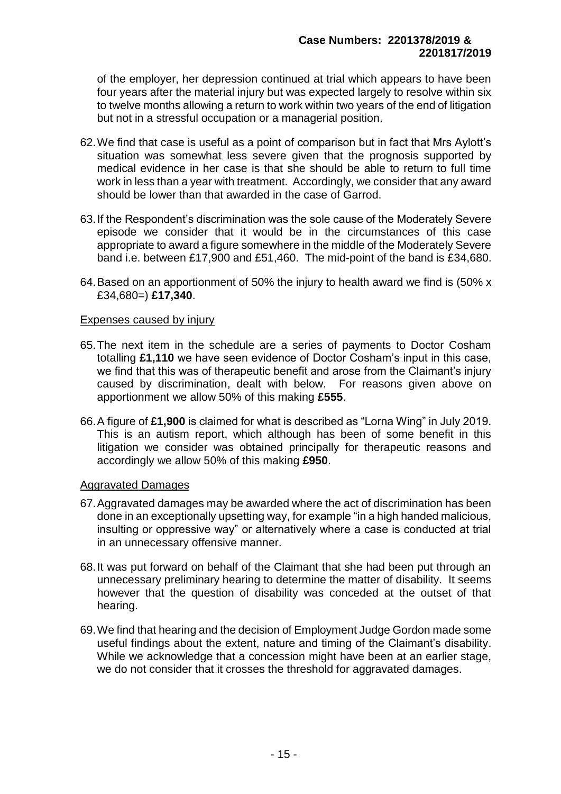of the employer, her depression continued at trial which appears to have been four years after the material injury but was expected largely to resolve within six to twelve months allowing a return to work within two years of the end of litigation but not in a stressful occupation or a managerial position.

- 62.We find that case is useful as a point of comparison but in fact that Mrs Aylott's situation was somewhat less severe given that the prognosis supported by medical evidence in her case is that she should be able to return to full time work in less than a year with treatment. Accordingly, we consider that any award should be lower than that awarded in the case of Garrod.
- 63.If the Respondent's discrimination was the sole cause of the Moderately Severe episode we consider that it would be in the circumstances of this case appropriate to award a figure somewhere in the middle of the Moderately Severe band i.e. between £17,900 and £51,460. The mid-point of the band is £34,680.
- 64.Based on an apportionment of 50% the injury to health award we find is (50% x £34,680=) **£17,340**.

#### Expenses caused by injury

- 65.The next item in the schedule are a series of payments to Doctor Cosham totalling **£1,110** we have seen evidence of Doctor Cosham's input in this case, we find that this was of therapeutic benefit and arose from the Claimant's injury caused by discrimination, dealt with below. For reasons given above on apportionment we allow 50% of this making **£555**.
- 66.A figure of **£1,900** is claimed for what is described as "Lorna Wing" in July 2019. This is an autism report, which although has been of some benefit in this litigation we consider was obtained principally for therapeutic reasons and accordingly we allow 50% of this making **£950**.

#### Aggravated Damages

- 67.Aggravated damages may be awarded where the act of discrimination has been done in an exceptionally upsetting way, for example "in a high handed malicious, insulting or oppressive way" or alternatively where a case is conducted at trial in an unnecessary offensive manner.
- 68.It was put forward on behalf of the Claimant that she had been put through an unnecessary preliminary hearing to determine the matter of disability. It seems however that the question of disability was conceded at the outset of that hearing.
- 69.We find that hearing and the decision of Employment Judge Gordon made some useful findings about the extent, nature and timing of the Claimant's disability. While we acknowledge that a concession might have been at an earlier stage, we do not consider that it crosses the threshold for aggravated damages.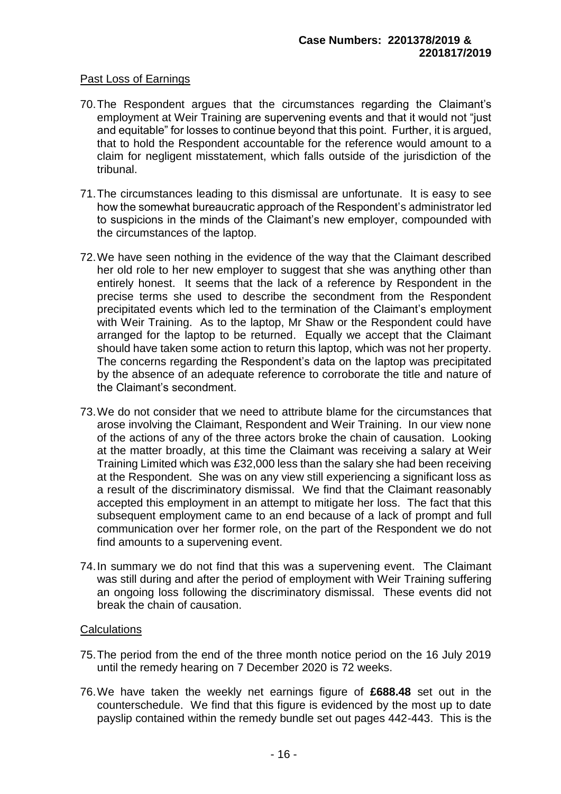#### Past Loss of Earnings

- 70.The Respondent argues that the circumstances regarding the Claimant's employment at Weir Training are supervening events and that it would not "just and equitable" for losses to continue beyond that this point. Further, it is argued, that to hold the Respondent accountable for the reference would amount to a claim for negligent misstatement, which falls outside of the jurisdiction of the tribunal.
- 71.The circumstances leading to this dismissal are unfortunate. It is easy to see how the somewhat bureaucratic approach of the Respondent's administrator led to suspicions in the minds of the Claimant's new employer, compounded with the circumstances of the laptop.
- 72.We have seen nothing in the evidence of the way that the Claimant described her old role to her new employer to suggest that she was anything other than entirely honest. It seems that the lack of a reference by Respondent in the precise terms she used to describe the secondment from the Respondent precipitated events which led to the termination of the Claimant's employment with Weir Training. As to the laptop, Mr Shaw or the Respondent could have arranged for the laptop to be returned. Equally we accept that the Claimant should have taken some action to return this laptop, which was not her property. The concerns regarding the Respondent's data on the laptop was precipitated by the absence of an adequate reference to corroborate the title and nature of the Claimant's secondment.
- 73.We do not consider that we need to attribute blame for the circumstances that arose involving the Claimant, Respondent and Weir Training. In our view none of the actions of any of the three actors broke the chain of causation. Looking at the matter broadly, at this time the Claimant was receiving a salary at Weir Training Limited which was £32,000 less than the salary she had been receiving at the Respondent. She was on any view still experiencing a significant loss as a result of the discriminatory dismissal. We find that the Claimant reasonably accepted this employment in an attempt to mitigate her loss. The fact that this subsequent employment came to an end because of a lack of prompt and full communication over her former role, on the part of the Respondent we do not find amounts to a supervening event.
- 74.In summary we do not find that this was a supervening event. The Claimant was still during and after the period of employment with Weir Training suffering an ongoing loss following the discriminatory dismissal. These events did not break the chain of causation.

#### **Calculations**

- 75.The period from the end of the three month notice period on the 16 July 2019 until the remedy hearing on 7 December 2020 is 72 weeks.
- 76.We have taken the weekly net earnings figure of **£688.48** set out in the counterschedule. We find that this figure is evidenced by the most up to date payslip contained within the remedy bundle set out pages 442-443. This is the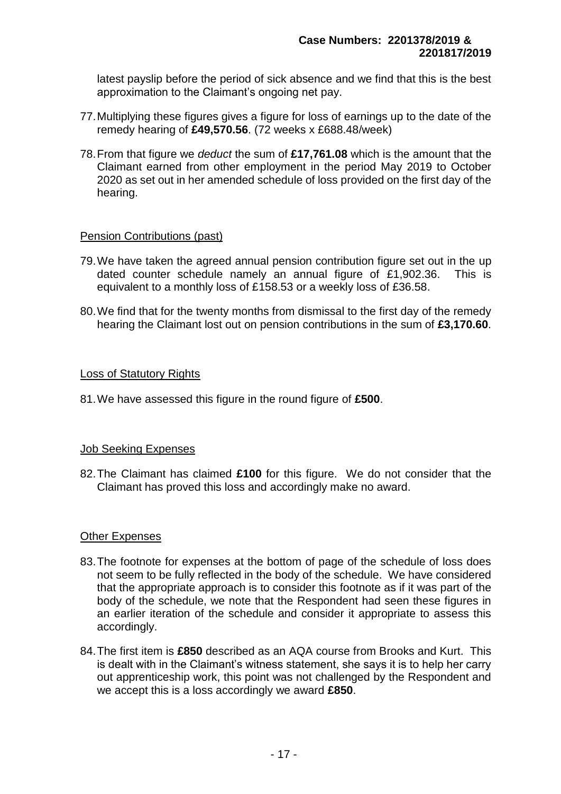latest payslip before the period of sick absence and we find that this is the best approximation to the Claimant's ongoing net pay.

- 77.Multiplying these figures gives a figure for loss of earnings up to the date of the remedy hearing of **£49,570.56**. (72 weeks x £688.48/week)
- 78.From that figure we *deduct* the sum of **£17,761.08** which is the amount that the Claimant earned from other employment in the period May 2019 to October 2020 as set out in her amended schedule of loss provided on the first day of the hearing.

#### Pension Contributions (past)

- 79.We have taken the agreed annual pension contribution figure set out in the up dated counter schedule namely an annual figure of £1,902.36. This is equivalent to a monthly loss of £158.53 or a weekly loss of £36.58.
- 80.We find that for the twenty months from dismissal to the first day of the remedy hearing the Claimant lost out on pension contributions in the sum of **£3,170.60**.

#### Loss of Statutory Rights

81.We have assessed this figure in the round figure of **£500**.

#### Job Seeking Expenses

82.The Claimant has claimed **£100** for this figure. We do not consider that the Claimant has proved this loss and accordingly make no award.

#### **Other Expenses**

- 83.The footnote for expenses at the bottom of page of the schedule of loss does not seem to be fully reflected in the body of the schedule. We have considered that the appropriate approach is to consider this footnote as if it was part of the body of the schedule, we note that the Respondent had seen these figures in an earlier iteration of the schedule and consider it appropriate to assess this accordingly.
- 84.The first item is **£850** described as an AQA course from Brooks and Kurt. This is dealt with in the Claimant's witness statement, she says it is to help her carry out apprenticeship work, this point was not challenged by the Respondent and we accept this is a loss accordingly we award **£850**.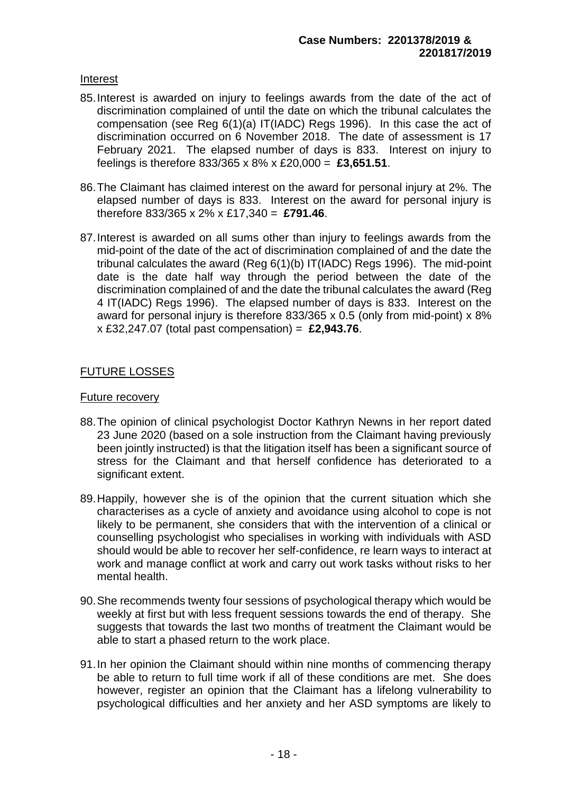### Interest

- 85.Interest is awarded on injury to feelings awards from the date of the act of discrimination complained of until the date on which the tribunal calculates the compensation (see Reg 6(1)(a) IT(IADC) Regs 1996). In this case the act of discrimination occurred on 6 November 2018. The date of assessment is 17 February 2021. The elapsed number of days is 833. Interest on injury to feelings is therefore 833/365 x 8% x £20,000 = **£3,651.51**.
- 86.The Claimant has claimed interest on the award for personal injury at 2%. The elapsed number of days is 833. Interest on the award for personal injury is therefore 833/365 x 2% x £17,340 = **£791.46**.
- 87.Interest is awarded on all sums other than injury to feelings awards from the mid-point of the date of the act of discrimination complained of and the date the tribunal calculates the award (Reg 6(1)(b) IT(IADC) Regs 1996). The mid-point date is the date half way through the period between the date of the discrimination complained of and the date the tribunal calculates the award (Reg 4 IT(IADC) Regs 1996). The elapsed number of days is 833. Interest on the award for personal injury is therefore 833/365 x 0.5 (only from mid-point) x 8% x £32,247.07 (total past compensation) = **£2,943.76**.

# FUTURE LOSSES

#### Future recovery

- 88.The opinion of clinical psychologist Doctor Kathryn Newns in her report dated 23 June 2020 (based on a sole instruction from the Claimant having previously been jointly instructed) is that the litigation itself has been a significant source of stress for the Claimant and that herself confidence has deteriorated to a significant extent.
- 89.Happily, however she is of the opinion that the current situation which she characterises as a cycle of anxiety and avoidance using alcohol to cope is not likely to be permanent, she considers that with the intervention of a clinical or counselling psychologist who specialises in working with individuals with ASD should would be able to recover her self-confidence, re learn ways to interact at work and manage conflict at work and carry out work tasks without risks to her mental health.
- 90.She recommends twenty four sessions of psychological therapy which would be weekly at first but with less frequent sessions towards the end of therapy. She suggests that towards the last two months of treatment the Claimant would be able to start a phased return to the work place.
- 91.In her opinion the Claimant should within nine months of commencing therapy be able to return to full time work if all of these conditions are met. She does however, register an opinion that the Claimant has a lifelong vulnerability to psychological difficulties and her anxiety and her ASD symptoms are likely to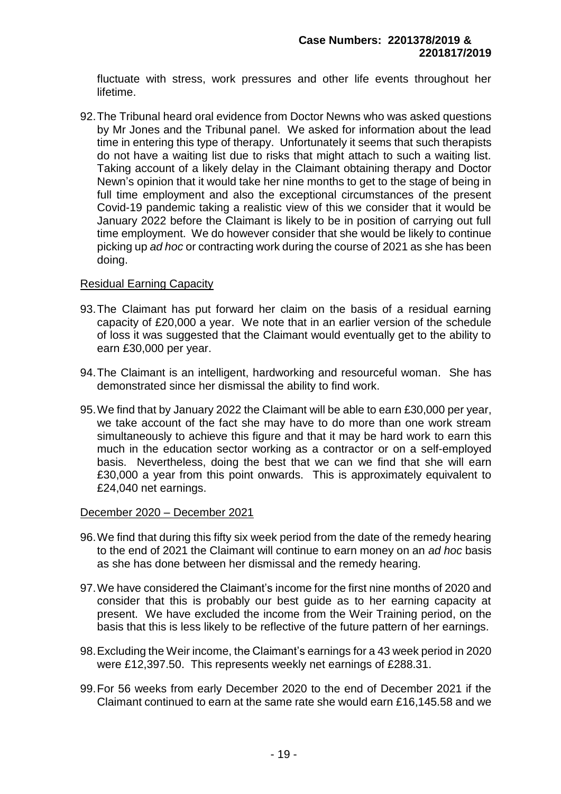fluctuate with stress, work pressures and other life events throughout her lifetime.

92.The Tribunal heard oral evidence from Doctor Newns who was asked questions by Mr Jones and the Tribunal panel. We asked for information about the lead time in entering this type of therapy. Unfortunately it seems that such therapists do not have a waiting list due to risks that might attach to such a waiting list. Taking account of a likely delay in the Claimant obtaining therapy and Doctor Newn's opinion that it would take her nine months to get to the stage of being in full time employment and also the exceptional circumstances of the present Covid-19 pandemic taking a realistic view of this we consider that it would be January 2022 before the Claimant is likely to be in position of carrying out full time employment. We do however consider that she would be likely to continue picking up *ad hoc* or contracting work during the course of 2021 as she has been doing.

# Residual Earning Capacity

- 93.The Claimant has put forward her claim on the basis of a residual earning capacity of £20,000 a year. We note that in an earlier version of the schedule of loss it was suggested that the Claimant would eventually get to the ability to earn £30,000 per year.
- 94.The Claimant is an intelligent, hardworking and resourceful woman. She has demonstrated since her dismissal the ability to find work.
- 95.We find that by January 2022 the Claimant will be able to earn £30,000 per year, we take account of the fact she may have to do more than one work stream simultaneously to achieve this figure and that it may be hard work to earn this much in the education sector working as a contractor or on a self-employed basis. Nevertheless, doing the best that we can we find that she will earn £30,000 a year from this point onwards. This is approximately equivalent to £24,040 net earnings.

#### December 2020 – December 2021

- 96.We find that during this fifty six week period from the date of the remedy hearing to the end of 2021 the Claimant will continue to earn money on an *ad hoc* basis as she has done between her dismissal and the remedy hearing.
- 97.We have considered the Claimant's income for the first nine months of 2020 and consider that this is probably our best guide as to her earning capacity at present. We have excluded the income from the Weir Training period, on the basis that this is less likely to be reflective of the future pattern of her earnings.
- 98.Excluding the Weir income, the Claimant's earnings for a 43 week period in 2020 were £12,397.50. This represents weekly net earnings of £288.31.
- 99.For 56 weeks from early December 2020 to the end of December 2021 if the Claimant continued to earn at the same rate she would earn £16,145.58 and we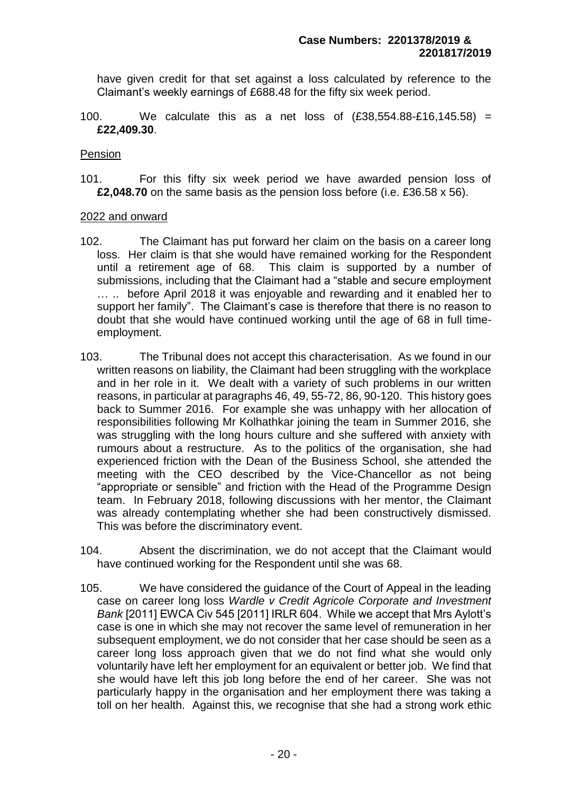have given credit for that set against a loss calculated by reference to the Claimant's weekly earnings of £688.48 for the fifty six week period.

100. We calculate this as a net loss of (£38,554.88-£16,145.58) = **£22,409.30**.

#### Pension

101. For this fifty six week period we have awarded pension loss of **£2,048.70** on the same basis as the pension loss before (i.e. £36.58 x 56).

#### 2022 and onward

- 102. The Claimant has put forward her claim on the basis on a career long loss. Her claim is that she would have remained working for the Respondent until a retirement age of 68. This claim is supported by a number of submissions, including that the Claimant had a "stable and secure employment … .. before April 2018 it was enjoyable and rewarding and it enabled her to support her family". The Claimant's case is therefore that there is no reason to doubt that she would have continued working until the age of 68 in full timeemployment.
- 103. The Tribunal does not accept this characterisation. As we found in our written reasons on liability, the Claimant had been struggling with the workplace and in her role in it. We dealt with a variety of such problems in our written reasons, in particular at paragraphs 46, 49, 55-72, 86, 90-120. This history goes back to Summer 2016. For example she was unhappy with her allocation of responsibilities following Mr Kolhathkar joining the team in Summer 2016, she was struggling with the long hours culture and she suffered with anxiety with rumours about a restructure. As to the politics of the organisation, she had experienced friction with the Dean of the Business School, she attended the meeting with the CEO described by the Vice-Chancellor as not being "appropriate or sensible" and friction with the Head of the Programme Design team. In February 2018, following discussions with her mentor, the Claimant was already contemplating whether she had been constructively dismissed. This was before the discriminatory event.
- 104. Absent the discrimination, we do not accept that the Claimant would have continued working for the Respondent until she was 68.
- 105. We have considered the guidance of the Court of Appeal in the leading case on career long loss *Wardle v Credit Agricole Corporate and Investment Bank* [2011] EWCA Civ 545 [2011] IRLR 604. While we accept that Mrs Aylott's case is one in which she may not recover the same level of remuneration in her subsequent employment, we do not consider that her case should be seen as a career long loss approach given that we do not find what she would only voluntarily have left her employment for an equivalent or better job. We find that she would have left this job long before the end of her career. She was not particularly happy in the organisation and her employment there was taking a toll on her health. Against this, we recognise that she had a strong work ethic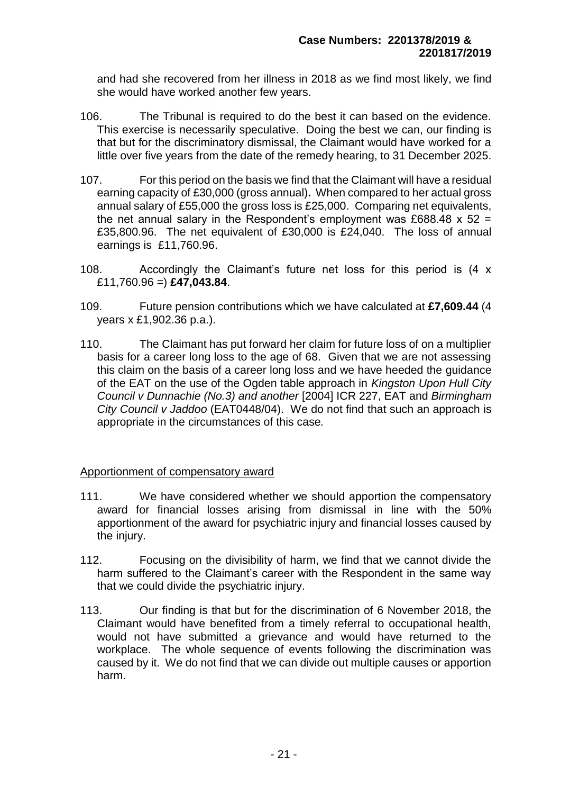and had she recovered from her illness in 2018 as we find most likely, we find she would have worked another few years.

- 106. The Tribunal is required to do the best it can based on the evidence. This exercise is necessarily speculative. Doing the best we can, our finding is that but for the discriminatory dismissal, the Claimant would have worked for a little over five years from the date of the remedy hearing, to 31 December 2025.
- 107. For this period on the basis we find that the Claimant will have a residual earning capacity of £30,000 (gross annual)**.** When compared to her actual gross annual salary of £55,000 the gross loss is £25,000. Comparing net equivalents, the net annual salary in the Respondent's employment was £688.48  $\times$  52 = £35,800.96. The net equivalent of £30,000 is £24,040. The loss of annual earnings is £11,760.96.
- 108. Accordingly the Claimant's future net loss for this period is (4 x £11,760.96 =) **£47,043.84**.
- 109. Future pension contributions which we have calculated at **£7,609.44** (4 years x £1,902.36 p.a.).
- 110. The Claimant has put forward her claim for future loss of on a multiplier basis for a career long loss to the age of 68. Given that we are not assessing this claim on the basis of a career long loss and we have heeded the guidance of the EAT on the use of the Ogden table approach in *Kingston Upon Hull City Council v Dunnachie (No.3) and another* [2004] ICR 227, EAT and *Birmingham City Council v Jaddoo* (EAT0448/04). We do not find that such an approach is appropriate in the circumstances of this case*.*

#### Apportionment of compensatory award

- 111. We have considered whether we should apportion the compensatory award for financial losses arising from dismissal in line with the 50% apportionment of the award for psychiatric injury and financial losses caused by the injury.
- 112. Focusing on the divisibility of harm, we find that we cannot divide the harm suffered to the Claimant's career with the Respondent in the same way that we could divide the psychiatric injury.
- 113. Our finding is that but for the discrimination of 6 November 2018, the Claimant would have benefited from a timely referral to occupational health, would not have submitted a grievance and would have returned to the workplace. The whole sequence of events following the discrimination was caused by it. We do not find that we can divide out multiple causes or apportion harm.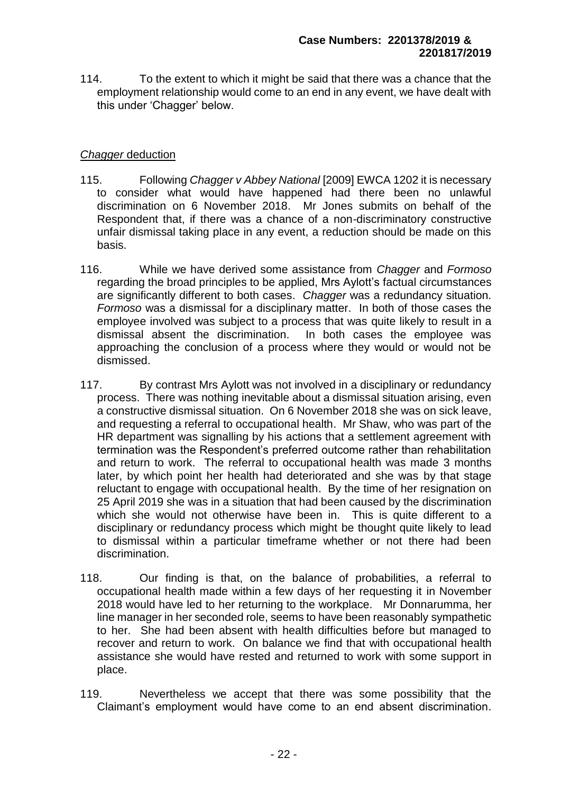114. To the extent to which it might be said that there was a chance that the employment relationship would come to an end in any event, we have dealt with this under 'Chagger' below.

# *Chagger* deduction

- 115. Following *Chagger v Abbey National* [2009] EWCA 1202 it is necessary to consider what would have happened had there been no unlawful discrimination on 6 November 2018. Mr Jones submits on behalf of the Respondent that, if there was a chance of a non-discriminatory constructive unfair dismissal taking place in any event, a reduction should be made on this basis.
- 116. While we have derived some assistance from *Chagger* and *Formoso* regarding the broad principles to be applied, Mrs Aylott's factual circumstances are significantly different to both cases. *Chagger* was a redundancy situation. *Formoso* was a dismissal for a disciplinary matter. In both of those cases the employee involved was subject to a process that was quite likely to result in a dismissal absent the discrimination. In both cases the employee was approaching the conclusion of a process where they would or would not be dismissed.
- 117. By contrast Mrs Aylott was not involved in a disciplinary or redundancy process. There was nothing inevitable about a dismissal situation arising, even a constructive dismissal situation. On 6 November 2018 she was on sick leave, and requesting a referral to occupational health. Mr Shaw, who was part of the HR department was signalling by his actions that a settlement agreement with termination was the Respondent's preferred outcome rather than rehabilitation and return to work. The referral to occupational health was made 3 months later, by which point her health had deteriorated and she was by that stage reluctant to engage with occupational health. By the time of her resignation on 25 April 2019 she was in a situation that had been caused by the discrimination which she would not otherwise have been in. This is quite different to a disciplinary or redundancy process which might be thought quite likely to lead to dismissal within a particular timeframe whether or not there had been discrimination.
- 118. Our finding is that, on the balance of probabilities, a referral to occupational health made within a few days of her requesting it in November 2018 would have led to her returning to the workplace. Mr Donnarumma, her line manager in her seconded role, seems to have been reasonably sympathetic to her. She had been absent with health difficulties before but managed to recover and return to work. On balance we find that with occupational health assistance she would have rested and returned to work with some support in place.
- 119. Nevertheless we accept that there was some possibility that the Claimant's employment would have come to an end absent discrimination.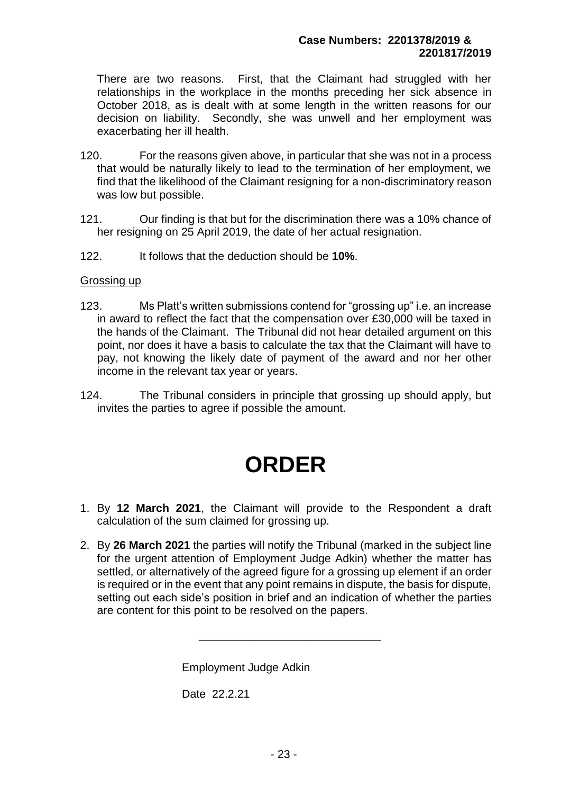There are two reasons. First, that the Claimant had struggled with her relationships in the workplace in the months preceding her sick absence in October 2018, as is dealt with at some length in the written reasons for our decision on liability. Secondly, she was unwell and her employment was exacerbating her ill health.

- 120. For the reasons given above, in particular that she was not in a process that would be naturally likely to lead to the termination of her employment, we find that the likelihood of the Claimant resigning for a non-discriminatory reason was low but possible.
- 121. Our finding is that but for the discrimination there was a 10% chance of her resigning on 25 April 2019, the date of her actual resignation.
- 122. It follows that the deduction should be **10%**.

#### Grossing up

- 123. Ms Platt's written submissions contend for "grossing up" i.e. an increase in award to reflect the fact that the compensation over £30,000 will be taxed in the hands of the Claimant. The Tribunal did not hear detailed argument on this point, nor does it have a basis to calculate the tax that the Claimant will have to pay, not knowing the likely date of payment of the award and nor her other income in the relevant tax year or years.
- 124. The Tribunal considers in principle that grossing up should apply, but invites the parties to agree if possible the amount.

# **ORDER**

- 1. By **12 March 2021**, the Claimant will provide to the Respondent a draft calculation of the sum claimed for grossing up.
- 2. By **26 March 2021** the parties will notify the Tribunal (marked in the subject line for the urgent attention of Employment Judge Adkin) whether the matter has settled, or alternatively of the agreed figure for a grossing up element if an order is required or in the event that any point remains in dispute, the basis for dispute, setting out each side's position in brief and an indication of whether the parties are content for this point to be resolved on the papers.

\_\_\_\_\_\_\_\_\_\_\_\_\_\_\_\_\_\_\_\_\_\_\_\_\_\_\_\_\_

Employment Judge Adkin

Date 22.2.21